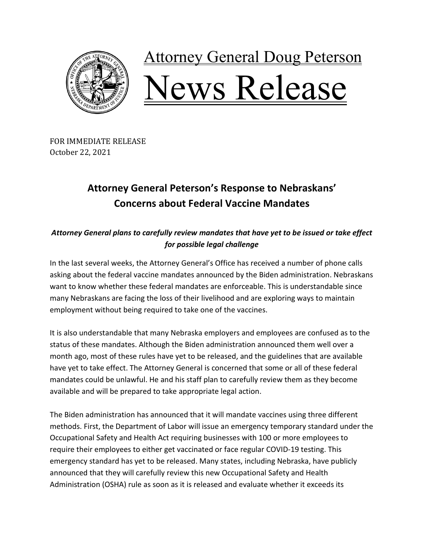

## **Attorney General Doug Peterson** Vews Release

FOR IMMEDIATE RELEASE October 22, 2021

## **Attorney General Peterson's Response to Nebraskans' Concerns about Federal Vaccine Mandates**

*Attorney General plans to carefully review mandates that have yet to be issued or take effect for possible legal challenge* 

In the last several weeks, the Attorney General's Office has received a number of phone calls asking about the federal vaccine mandates announced by the Biden administration. Nebraskans want to know whether these federal mandates are enforceable. This is understandable since many Nebraskans are facing the loss of their livelihood and are exploring ways to maintain employment without being required to take one of the vaccines.

It is also understandable that many Nebraska employers and employees are confused as to the status of these mandates. Although the Biden administration announced them well over a month ago, most of these rules have yet to be released, and the guidelines that are available have yet to take effect. The Attorney General is concerned that some or all of these federal mandates could be unlawful. He and his staff plan to carefully review them as they become available and will be prepared to take appropriate legal action.

The Biden administration has announced that it will mandate vaccines using three different methods. First, the Department of Labor will issue an emergency temporary standard under the Occupational Safety and Health Act requiring businesses with 100 or more employees to require their employees to either get vaccinated or face regular COVID-19 testing. This emergency standard has yet to be released. Many states, including Nebraska, have publicly announced that they will carefully review this new Occupational Safety and Health Administration (OSHA) rule as soon as it is released and evaluate whether it exceeds its